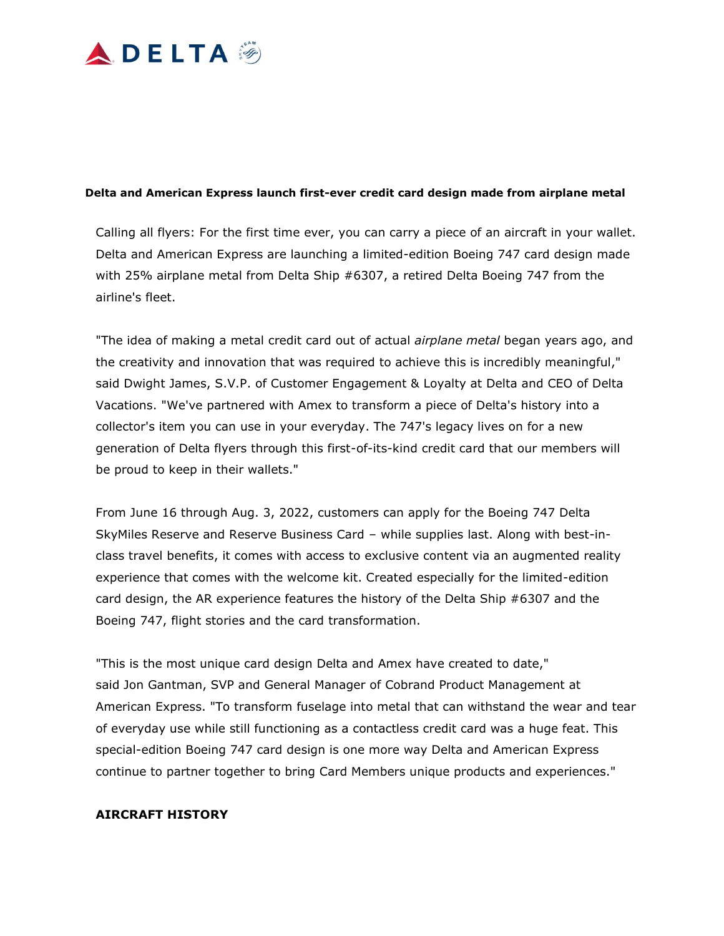

#### **Delta and American Express launch first-ever credit card design made from airplane metal**

Calling all flyers: For the first time ever, you can carry a piece of an aircraft in your wallet. Delta and American Express are launching a limited-edition Boeing 747 card design made with 25% airplane metal from Delta Ship #6307, a retired Delta Boeing 747 from the airline's fleet.

"The idea of making a metal credit card out of actual *airplane metal* began years ago, and the creativity and innovation that was required to achieve this is incredibly meaningful," said Dwight James, S.V.P. of Customer Engagement & Loyalty at Delta and CEO of Delta Vacations. "We've partnered with Amex to transform a piece of Delta's history into a collector's item you can use in your everyday. The 747's legacy lives on for a new generation of Delta flyers through this first-of-its-kind credit card that our members will be proud to keep in their wallets."

From June 16 through Aug. 3, 2022, customers can apply for the Boeing 747 Delta SkyMiles Reserve and Reserve Business Card – while supplies last. Along with best-inclass travel benefits, it comes with access to exclusive content via an augmented reality experience that comes with the welcome kit. Created especially for the limited-edition card design, the AR experience features the history of the Delta Ship #6307 and the Boeing 747, flight stories and the card transformation.

"This is the most unique card design Delta and Amex have created to date," said Jon Gantman, SVP and General Manager of Cobrand Product Management at American Express. "To transform fuselage into metal that can withstand the wear and tear of everyday use while still functioning as a contactless credit card was a huge feat. This special-edition Boeing 747 card design is one more way Delta and American Express continue to partner together to bring Card Members unique products and experiences."

#### **AIRCRAFT HISTORY**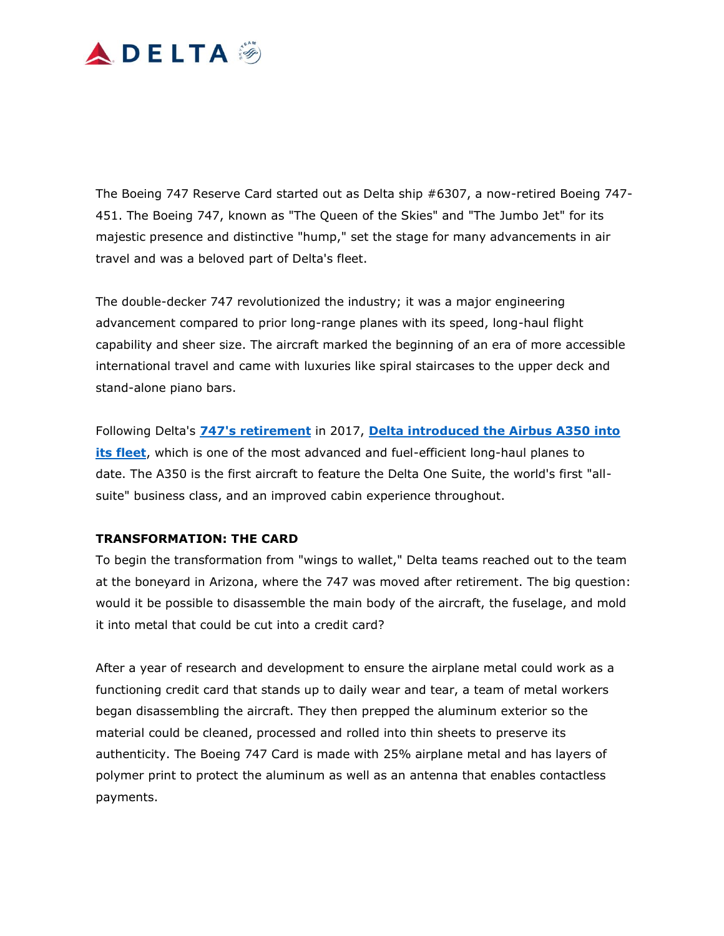## **ADELTA**

The Boeing 747 Reserve Card started out as Delta ship #6307, a now-retired Boeing 747- 451. The Boeing 747, known as "The Queen of the Skies" and "The Jumbo Jet" for its majestic presence and distinctive "hump," set the stage for many advancements in air travel and was a beloved part of Delta's fleet.

The double-decker 747 revolutionized the industry; it was a major engineering advancement compared to prior long-range planes with its speed, long-haul flight capability and sheer size. The aircraft marked the beginning of an era of more accessible international travel and came with luxuries like spiral staircases to the upper deck and stand-alone piano bars.

Following Delta's **[747's retirement](https://news.delta.com/delta-customers-employees-saying-goodbye-iconic-747)** in 2017, **[Delta introduced the Airbus A350 into](https://news.delta.com/delta-takes-delivery-first-flagship-airbus-a350-900)  [its fleet](https://news.delta.com/delta-takes-delivery-first-flagship-airbus-a350-900)**, which is one of the most advanced and fuel-efficient long-haul planes to date. The A350 is the first aircraft to feature the Delta One Suite, the world's first "allsuite" business class, and an improved cabin experience throughout.

### **TRANSFORMATION: THE CARD**

To begin the transformation from "wings to wallet," Delta teams reached out to the team at the boneyard in Arizona, where the 747 was moved after retirement. The big question: would it be possible to disassemble the main body of the aircraft, the fuselage, and mold it into metal that could be cut into a credit card?

After a year of research and development to ensure the airplane metal could work as a functioning credit card that stands up to daily wear and tear, a team of metal workers began disassembling the aircraft. They then prepped the aluminum exterior so the material could be cleaned, processed and rolled into thin sheets to preserve its authenticity. The Boeing 747 Card is made with 25% airplane metal and has layers of polymer print to protect the aluminum as well as an antenna that enables contactless payments.